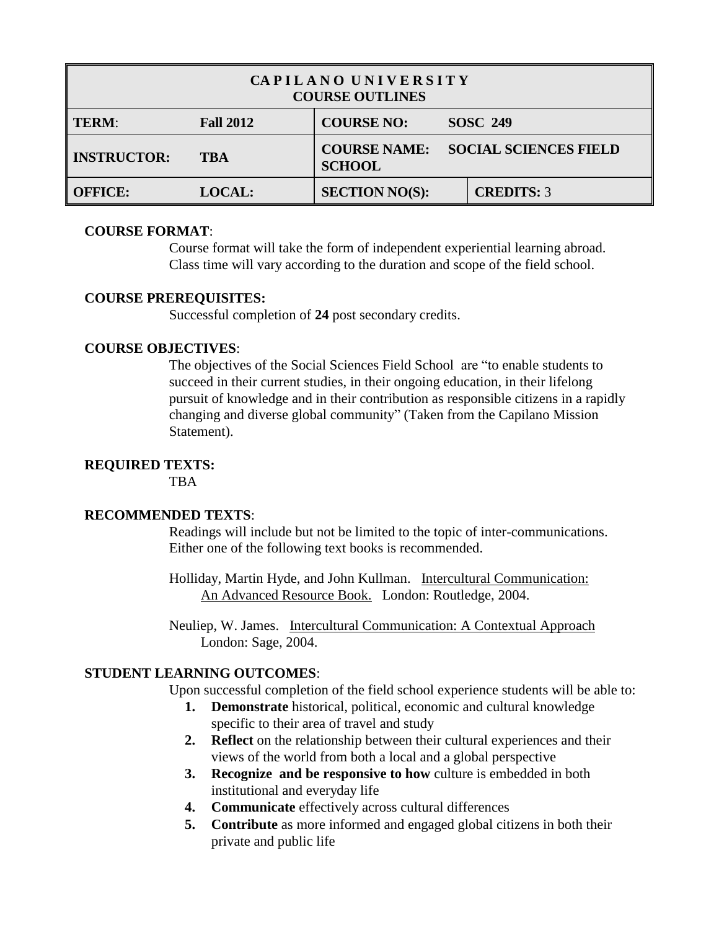| CAPILANO UNIVERSITY<br><b>COURSE OUTLINES</b> |                  |                                                                      |                   |  |
|-----------------------------------------------|------------------|----------------------------------------------------------------------|-------------------|--|
| <b>TERM:</b>                                  | <b>Fall 2012</b> | <b>COURSE NO:</b>                                                    | <b>SOSC 249</b>   |  |
| <b>INSTRUCTOR:</b>                            | <b>TBA</b>       | <b>SOCIAL SCIENCES FIELD</b><br><b>COURSE NAME:</b><br><b>SCHOOL</b> |                   |  |
| <b>OFFICE:</b>                                | <b>LOCAL:</b>    | <b>SECTION NO(S):</b>                                                | <b>CREDITS: 3</b> |  |

### **COURSE FORMAT**:

Course format will take the form of independent experiential learning abroad. Class time will vary according to the duration and scope of the field school.

### **COURSE PREREQUISITES:**

Successful completion of **24** post secondary credits.

# **COURSE OBJECTIVES**:

The objectives of the Social Sciences Field School are "to enable students to succeed in their current studies, in their ongoing education, in their lifelong pursuit of knowledge and in their contribution as responsible citizens in a rapidly changing and diverse global community" (Taken from the Capilano Mission Statement).

# **REQUIRED TEXTS:**

**TRA** 

### **RECOMMENDED TEXTS**:

Readings will include but not be limited to the topic of inter-communications. Either one of the following text books is recommended.

Holliday, Martin Hyde, and John Kullman. Intercultural Communication: An Advanced Resource Book.London: Routledge, 2004.

Neuliep, W. James. Intercultural Communication: A Contextual Approach London: Sage, 2004.

# **STUDENT LEARNING OUTCOMES**:

Upon successful completion of the field school experience students will be able to:

- **1. Demonstrate** historical, political, economic and cultural knowledge specific to their area of travel and study
- **2. Reflect** on the relationship between their cultural experiences and their views of the world from both a local and a global perspective
- **3. Recognize and be responsive to how** culture is embedded in both institutional and everyday life
- **4. Communicate** effectively across cultural differences
- **5. Contribute** as more informed and engaged global citizens in both their private and public life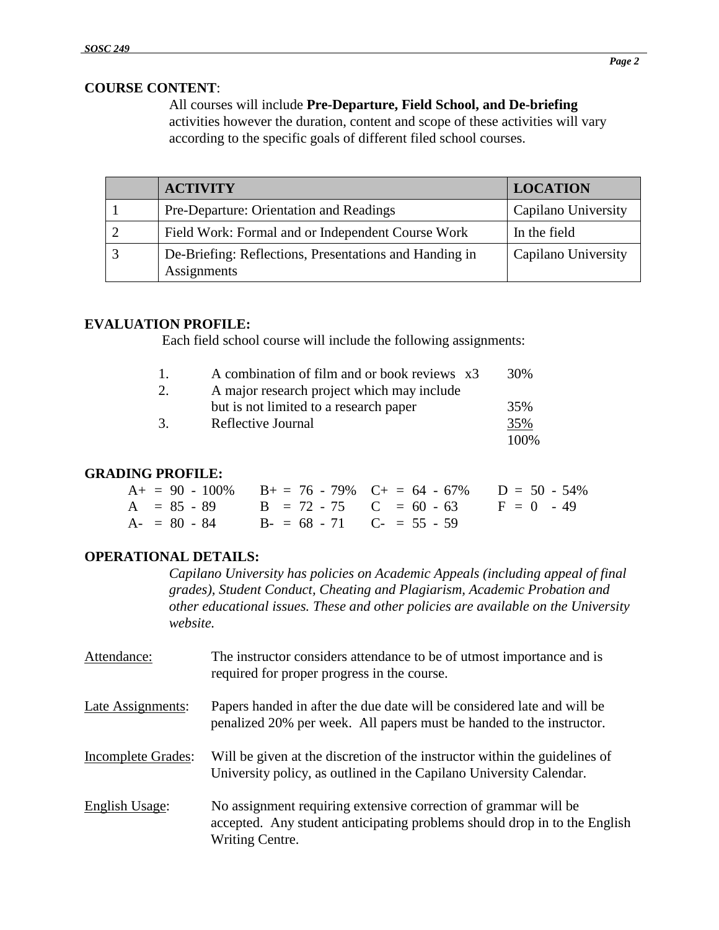### **COURSE CONTENT**:

All courses will include **Pre-Departure, Field School, and De-briefing**  activities however the duration, content and scope of these activities will vary according to the specific goals of different filed school courses.

| <b>ACTIVITY</b>                                                       | LOCATION            |
|-----------------------------------------------------------------------|---------------------|
| Pre-Departure: Orientation and Readings                               | Capilano University |
| Field Work: Formal and or Independent Course Work                     | In the field        |
| De-Briefing: Reflections, Presentations and Handing in<br>Assignments | Capilano University |

### **EVALUATION PROFILE:**

Each field school course will include the following assignments:

| $\mathbf{1}$ | A combination of film and or book reviews x3 | 30%   |
|--------------|----------------------------------------------|-------|
| 2.           | A major research project which may include   |       |
|              | but is not limited to a research paper       | 35%   |
| 3.           | Reflective Journal                           | 35%   |
|              |                                              | 100\% |

### **GRADING PROFILE:**

| $A_1 = 90 - 100\%$ $B_1 = 76 - 79\%$ $C_1 = 64 - 67\%$ $D = 50 - 54\%$ |  |  |
|------------------------------------------------------------------------|--|--|
| $A = 85 - 89$ $B = 72 - 75$ $C = 60 - 63$ $F = 0 - 49$                 |  |  |
| $A = 80 - 84$ $B = 68 - 71$ $C = 55 - 59$                              |  |  |

### **OPERATIONAL DETAILS:**

*Capilano University has policies on Academic Appeals (including appeal of final grades), Student Conduct, Cheating and Plagiarism, Academic Probation and other educational issues. These and other policies are available on the University website.*

| Attendance:               | The instructor considers attendance to be of utmost importance and is<br>required for proper progress in the course.                                            |
|---------------------------|-----------------------------------------------------------------------------------------------------------------------------------------------------------------|
| Late Assignments:         | Papers handed in after the due date will be considered late and will be<br>penalized 20% per week. All papers must be handed to the instructor.                 |
| <b>Incomplete Grades:</b> | Will be given at the discretion of the instructor within the guidelines of<br>University policy, as outlined in the Capilano University Calendar.               |
| English Usage:            | No assignment requiring extensive correction of grammar will be<br>accepted. Any student anticipating problems should drop in to the English<br>Writing Centre. |